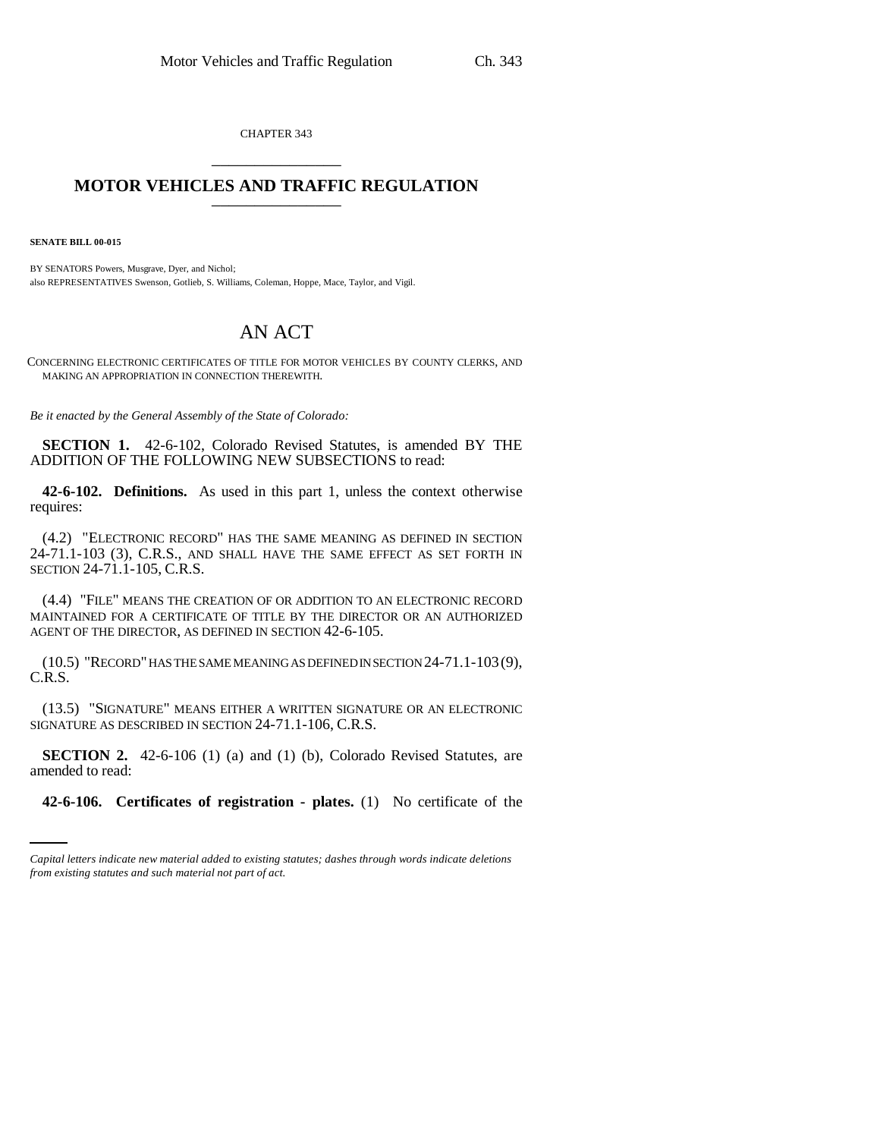CHAPTER 343 \_\_\_\_\_\_\_\_\_\_\_\_\_\_\_

## **MOTOR VEHICLES AND TRAFFIC REGULATION** \_\_\_\_\_\_\_\_\_\_\_\_\_\_\_

**SENATE BILL 00-015** 

BY SENATORS Powers, Musgrave, Dyer, and Nichol; also REPRESENTATIVES Swenson, Gotlieb, S. Williams, Coleman, Hoppe, Mace, Taylor, and Vigil.

## AN ACT

CONCERNING ELECTRONIC CERTIFICATES OF TITLE FOR MOTOR VEHICLES BY COUNTY CLERKS, AND MAKING AN APPROPRIATION IN CONNECTION THEREWITH.

*Be it enacted by the General Assembly of the State of Colorado:*

**SECTION 1.** 42-6-102, Colorado Revised Statutes, is amended BY THE ADDITION OF THE FOLLOWING NEW SUBSECTIONS to read:

**42-6-102. Definitions.** As used in this part 1, unless the context otherwise requires:

(4.2) "ELECTRONIC RECORD" HAS THE SAME MEANING AS DEFINED IN SECTION 24-71.1-103 (3), C.R.S., AND SHALL HAVE THE SAME EFFECT AS SET FORTH IN SECTION 24-71.1-105, C.R.S.

(4.4) "FILE" MEANS THE CREATION OF OR ADDITION TO AN ELECTRONIC RECORD MAINTAINED FOR A CERTIFICATE OF TITLE BY THE DIRECTOR OR AN AUTHORIZED AGENT OF THE DIRECTOR, AS DEFINED IN SECTION 42-6-105.

(10.5) "RECORD" HAS THE SAME MEANING AS DEFINED IN SECTION 24-71.1-103(9), C.R.S.

(13.5) "SIGNATURE" MEANS EITHER A WRITTEN SIGNATURE OR AN ELECTRONIC SIGNATURE AS DESCRIBED IN SECTION 24-71.1-106, C.R.S.

amended to read: **SECTION 2.** 42-6-106 (1) (a) and (1) (b), Colorado Revised Statutes, are

**42-6-106. Certificates of registration - plates.** (1) No certificate of the

*Capital letters indicate new material added to existing statutes; dashes through words indicate deletions from existing statutes and such material not part of act.*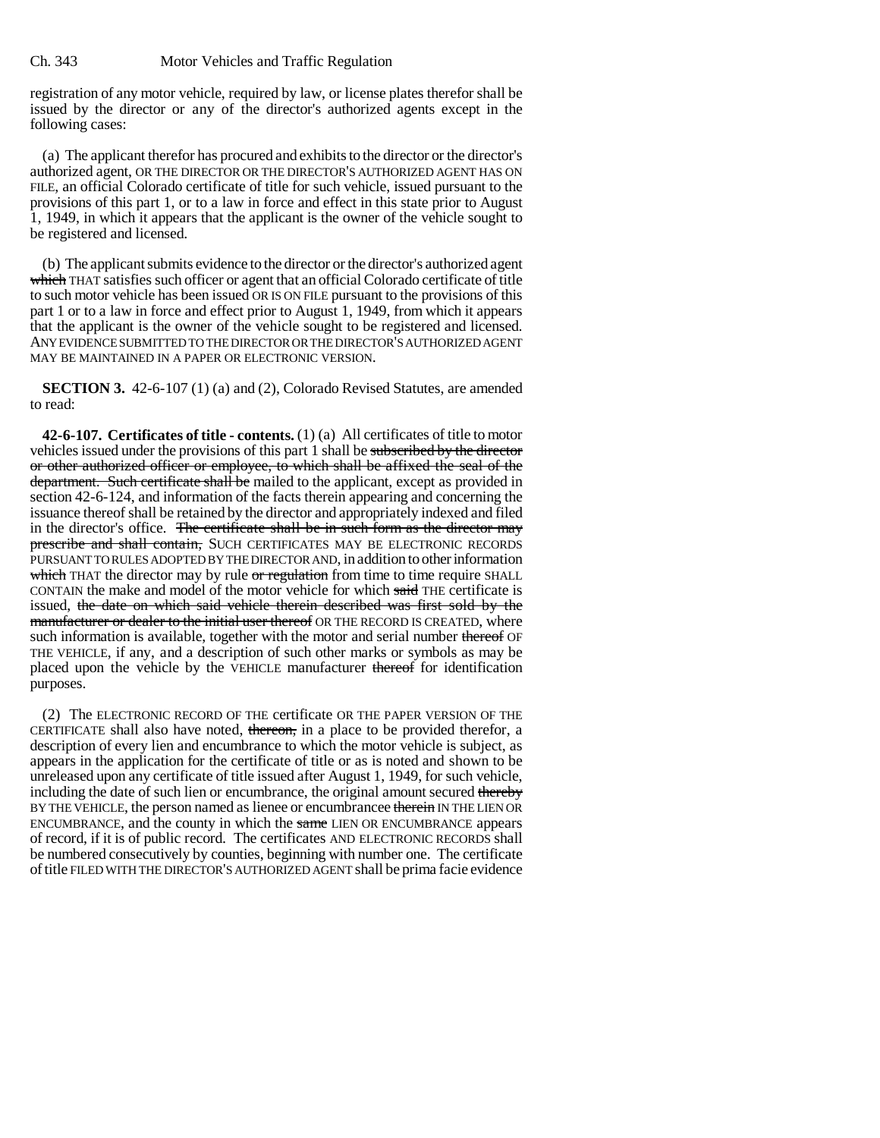registration of any motor vehicle, required by law, or license plates therefor shall be issued by the director or any of the director's authorized agents except in the following cases:

(a) The applicant therefor has procured and exhibits to the director or the director's authorized agent, OR THE DIRECTOR OR THE DIRECTOR'S AUTHORIZED AGENT HAS ON FILE, an official Colorado certificate of title for such vehicle, issued pursuant to the provisions of this part 1, or to a law in force and effect in this state prior to August 1, 1949, in which it appears that the applicant is the owner of the vehicle sought to be registered and licensed.

(b) The applicant submits evidence to the director or the director's authorized agent which THAT satisfies such officer or agent that an official Colorado certificate of title to such motor vehicle has been issued OR IS ON FILE pursuant to the provisions of this part 1 or to a law in force and effect prior to August 1, 1949, from which it appears that the applicant is the owner of the vehicle sought to be registered and licensed. ANY EVIDENCE SUBMITTED TO THE DIRECTOR OR THE DIRECTOR'S AUTHORIZED AGENT MAY BE MAINTAINED IN A PAPER OR ELECTRONIC VERSION.

**SECTION 3.** 42-6-107 (1) (a) and (2), Colorado Revised Statutes, are amended to read:

**42-6-107. Certificates of title - contents.** (1) (a) All certificates of title to motor vehicles issued under the provisions of this part 1 shall be subscribed by the director or other authorized officer or employee, to which shall be affixed the seal of the department. Such certificate shall be mailed to the applicant, except as provided in section 42-6-124, and information of the facts therein appearing and concerning the issuance thereof shall be retained by the director and appropriately indexed and filed in the director's office. The certificate shall be in such form as the director may prescribe and shall contain, SUCH CERTIFICATES MAY BE ELECTRONIC RECORDS PURSUANT TO RULES ADOPTED BY THE DIRECTOR AND, in addition to other information which THAT the director may by rule or regulation from time to time require SHALL CONTAIN the make and model of the motor vehicle for which said THE certificate is issued, the date on which said vehicle therein described was first sold by the manufacturer or dealer to the initial user thereof OR THE RECORD IS CREATED, where such information is available, together with the motor and serial number thereof OF THE VEHICLE, if any, and a description of such other marks or symbols as may be placed upon the vehicle by the VEHICLE manufacturer thereof for identification purposes.

(2) The ELECTRONIC RECORD OF THE certificate OR THE PAPER VERSION OF THE CERTIFICATE shall also have noted, thereon, in a place to be provided therefor, a description of every lien and encumbrance to which the motor vehicle is subject, as appears in the application for the certificate of title or as is noted and shown to be unreleased upon any certificate of title issued after August 1, 1949, for such vehicle, including the date of such lien or encumbrance, the original amount secured thereby BY THE VEHICLE, the person named as lienee or encumbrancee therein IN THE LIEN OR ENCUMBRANCE, and the county in which the same LIEN OR ENCUMBRANCE appears of record, if it is of public record. The certificates AND ELECTRONIC RECORDS shall be numbered consecutively by counties, beginning with number one. The certificate of title FILED WITH THE DIRECTOR'S AUTHORIZED AGENT shall be prima facie evidence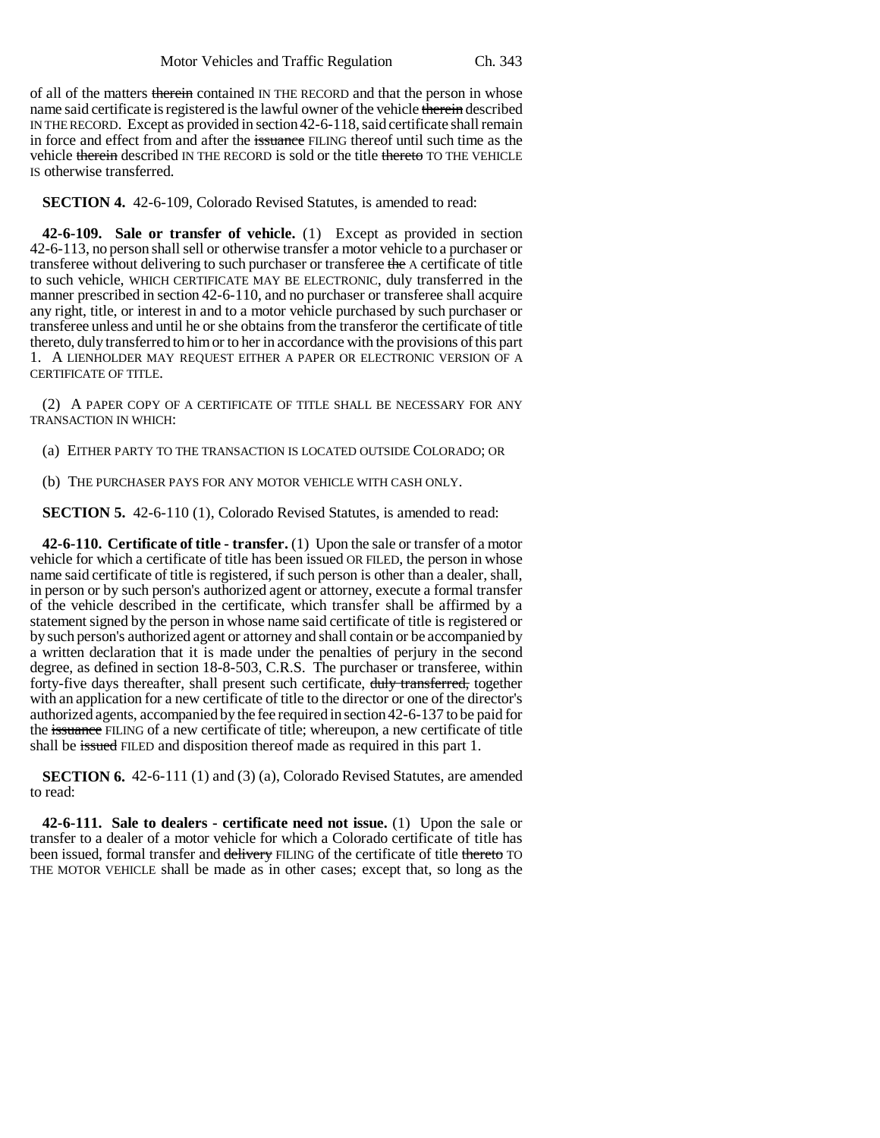of all of the matters therein contained IN THE RECORD and that the person in whose name said certificate is registered is the lawful owner of the vehicle therein described IN THE RECORD. Except as provided in section 42-6-118, said certificate shall remain in force and effect from and after the issuance FILING thereof until such time as the vehicle therein described IN THE RECORD is sold or the title thereto TO THE VEHICLE IS otherwise transferred.

**SECTION 4.** 42-6-109, Colorado Revised Statutes, is amended to read:

**42-6-109. Sale or transfer of vehicle.** (1) Except as provided in section 42-6-113, no person shall sell or otherwise transfer a motor vehicle to a purchaser or transferee without delivering to such purchaser or transferee the A certificate of title to such vehicle, WHICH CERTIFICATE MAY BE ELECTRONIC, duly transferred in the manner prescribed in section 42-6-110, and no purchaser or transferee shall acquire any right, title, or interest in and to a motor vehicle purchased by such purchaser or transferee unless and until he or she obtains from the transferor the certificate of title thereto, duly transferred to him or to her in accordance with the provisions of this part 1. A LIENHOLDER MAY REQUEST EITHER A PAPER OR ELECTRONIC VERSION OF A CERTIFICATE OF TITLE.

(2) A PAPER COPY OF A CERTIFICATE OF TITLE SHALL BE NECESSARY FOR ANY TRANSACTION IN WHICH:

(a) EITHER PARTY TO THE TRANSACTION IS LOCATED OUTSIDE COLORADO; OR

(b) THE PURCHASER PAYS FOR ANY MOTOR VEHICLE WITH CASH ONLY.

**SECTION 5.** 42-6-110 (1), Colorado Revised Statutes, is amended to read:

**42-6-110. Certificate of title - transfer.** (1) Upon the sale or transfer of a motor vehicle for which a certificate of title has been issued OR FILED, the person in whose name said certificate of title is registered, if such person is other than a dealer, shall, in person or by such person's authorized agent or attorney, execute a formal transfer of the vehicle described in the certificate, which transfer shall be affirmed by a statement signed by the person in whose name said certificate of title is registered or by such person's authorized agent or attorney and shall contain or be accompanied by a written declaration that it is made under the penalties of perjury in the second degree, as defined in section 18-8-503, C.R.S. The purchaser or transferee, within forty-five days thereafter, shall present such certificate, duly transferred, together with an application for a new certificate of title to the director or one of the director's authorized agents, accompanied by the fee required in section 42-6-137 to be paid for the issuance FILING of a new certificate of title; whereupon, a new certificate of title shall be issued FILED and disposition thereof made as required in this part 1.

**SECTION 6.** 42-6-111 (1) and (3) (a), Colorado Revised Statutes, are amended to read:

**42-6-111. Sale to dealers - certificate need not issue.** (1) Upon the sale or transfer to a dealer of a motor vehicle for which a Colorado certificate of title has been issued, formal transfer and delivery FILING of the certificate of title thereto TO THE MOTOR VEHICLE shall be made as in other cases; except that, so long as the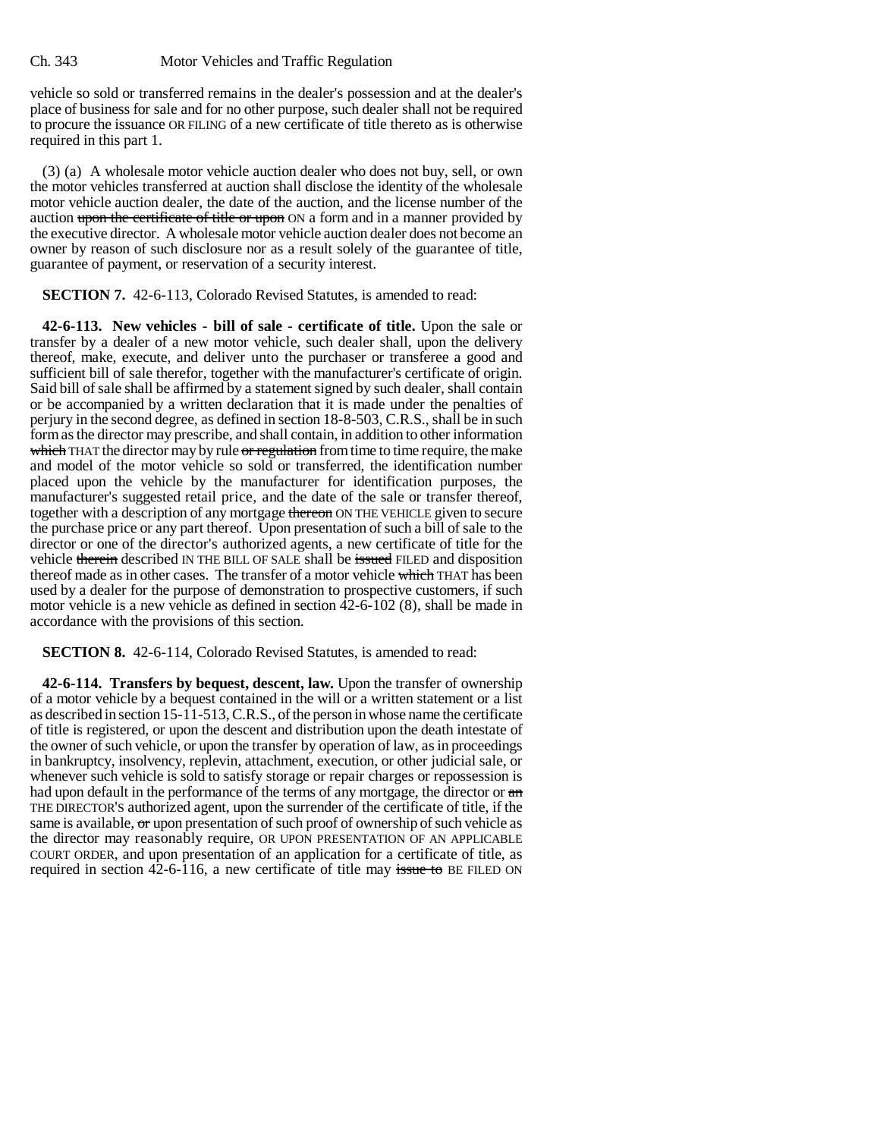vehicle so sold or transferred remains in the dealer's possession and at the dealer's place of business for sale and for no other purpose, such dealer shall not be required to procure the issuance OR FILING of a new certificate of title thereto as is otherwise required in this part 1.

(3) (a) A wholesale motor vehicle auction dealer who does not buy, sell, or own the motor vehicles transferred at auction shall disclose the identity of the wholesale motor vehicle auction dealer, the date of the auction, and the license number of the auction upon the certificate of title or upon ON a form and in a manner provided by the executive director. A wholesale motor vehicle auction dealer does not become an owner by reason of such disclosure nor as a result solely of the guarantee of title, guarantee of payment, or reservation of a security interest.

**SECTION 7.** 42-6-113, Colorado Revised Statutes, is amended to read:

**42-6-113. New vehicles - bill of sale - certificate of title.** Upon the sale or transfer by a dealer of a new motor vehicle, such dealer shall, upon the delivery thereof, make, execute, and deliver unto the purchaser or transferee a good and sufficient bill of sale therefor, together with the manufacturer's certificate of origin. Said bill of sale shall be affirmed by a statement signed by such dealer, shall contain or be accompanied by a written declaration that it is made under the penalties of perjury in the second degree, as defined in section 18-8-503, C.R.S., shall be in such form as the director may prescribe, and shall contain, in addition to other information which THAT the director may by rule or regulation from time to time require, the make and model of the motor vehicle so sold or transferred, the identification number placed upon the vehicle by the manufacturer for identification purposes, the manufacturer's suggested retail price, and the date of the sale or transfer thereof, together with a description of any mortgage thereon ON THE VEHICLE given to secure the purchase price or any part thereof. Upon presentation of such a bill of sale to the director or one of the director's authorized agents, a new certificate of title for the vehicle therein described IN THE BILL OF SALE shall be issued FILED and disposition thereof made as in other cases. The transfer of a motor vehicle which THAT has been used by a dealer for the purpose of demonstration to prospective customers, if such motor vehicle is a new vehicle as defined in section 42-6-102 (8), shall be made in accordance with the provisions of this section.

**SECTION 8.** 42-6-114, Colorado Revised Statutes, is amended to read:

**42-6-114. Transfers by bequest, descent, law.** Upon the transfer of ownership of a motor vehicle by a bequest contained in the will or a written statement or a list as described in section 15-11-513, C.R.S., of the person in whose name the certificate of title is registered, or upon the descent and distribution upon the death intestate of the owner of such vehicle, or upon the transfer by operation of law, as in proceedings in bankruptcy, insolvency, replevin, attachment, execution, or other judicial sale, or whenever such vehicle is sold to satisfy storage or repair charges or repossession is had upon default in the performance of the terms of any mortgage, the director or  $\theta$ THE DIRECTOR'S authorized agent, upon the surrender of the certificate of title, if the same is available, or upon presentation of such proof of ownership of such vehicle as the director may reasonably require, OR UPON PRESENTATION OF AN APPLICABLE COURT ORDER, and upon presentation of an application for a certificate of title, as required in section  $42-6-116$ , a new certificate of title may issue to BE FILED ON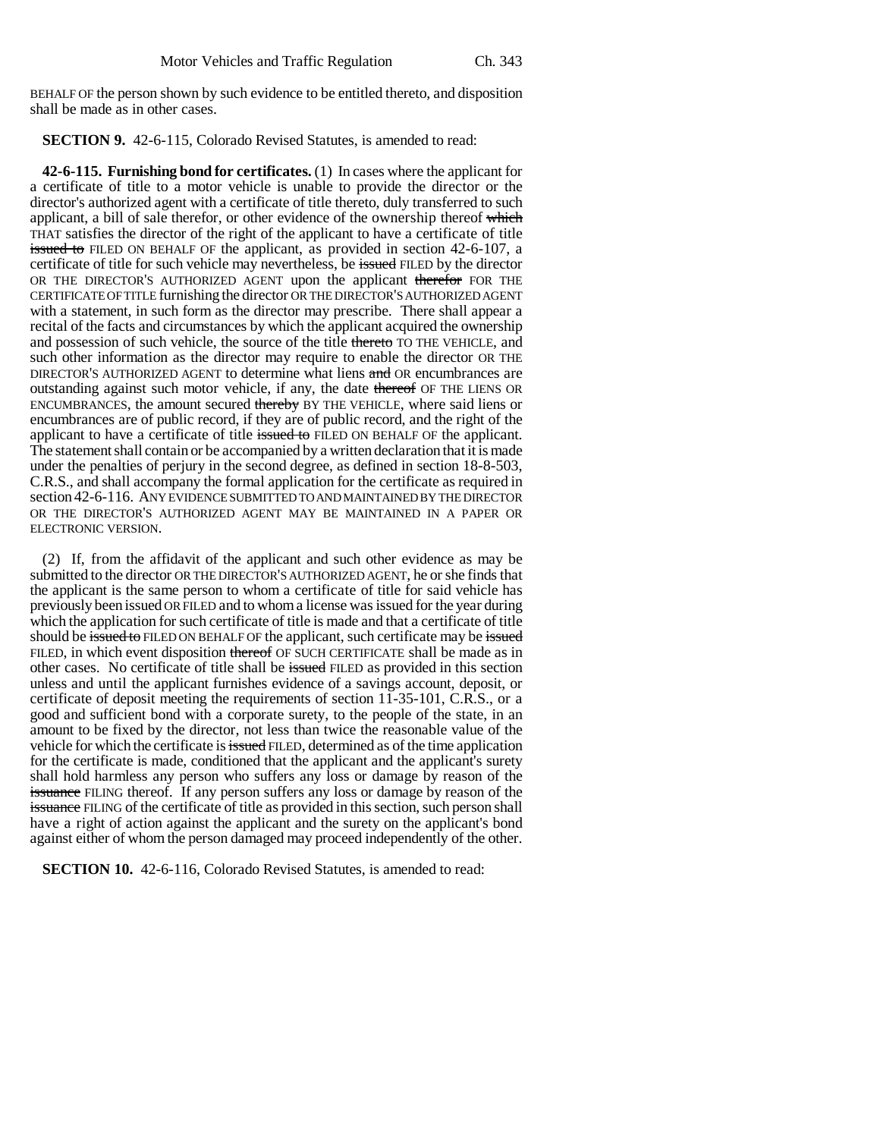BEHALF OF the person shown by such evidence to be entitled thereto, and disposition shall be made as in other cases.

**SECTION 9.** 42-6-115, Colorado Revised Statutes, is amended to read:

**42-6-115. Furnishing bond for certificates.** (1) In cases where the applicant for a certificate of title to a motor vehicle is unable to provide the director or the director's authorized agent with a certificate of title thereto, duly transferred to such applicant, a bill of sale therefor, or other evidence of the ownership thereof which THAT satisfies the director of the right of the applicant to have a certificate of title issued to FILED ON BEHALF OF the applicant, as provided in section 42-6-107, a certificate of title for such vehicle may nevertheless, be issued FILED by the director OR THE DIRECTOR'S AUTHORIZED AGENT upon the applicant therefor FOR THE CERTIFICATE OF TITLE furnishing the director OR THE DIRECTOR'S AUTHORIZED AGENT with a statement, in such form as the director may prescribe. There shall appear a recital of the facts and circumstances by which the applicant acquired the ownership and possession of such vehicle, the source of the title thereto TO THE VEHICLE, and such other information as the director may require to enable the director OR THE DIRECTOR'S AUTHORIZED AGENT to determine what liens and OR encumbrances are outstanding against such motor vehicle, if any, the date thereof OF THE LIENS OR ENCUMBRANCES, the amount secured thereby BY THE VEHICLE, where said liens or encumbrances are of public record, if they are of public record, and the right of the applicant to have a certificate of title issued to FILED ON BEHALF OF the applicant. The statement shall contain or be accompanied by a written declaration that it is made under the penalties of perjury in the second degree, as defined in section 18-8-503, C.R.S., and shall accompany the formal application for the certificate as required in section 42-6-116. ANY EVIDENCE SUBMITTED TO AND MAINTAINED BY THE DIRECTOR OR THE DIRECTOR'S AUTHORIZED AGENT MAY BE MAINTAINED IN A PAPER OR ELECTRONIC VERSION.

(2) If, from the affidavit of the applicant and such other evidence as may be submitted to the director OR THE DIRECTOR'S AUTHORIZED AGENT, he or she finds that the applicant is the same person to whom a certificate of title for said vehicle has previously been issued OR FILED and to whom a license was issued for the year during which the application for such certificate of title is made and that a certificate of title should be issued to FILED ON BEHALF OF the applicant, such certificate may be issued FILED, in which event disposition thereof OF SUCH CERTIFICATE shall be made as in other cases. No certificate of title shall be issued FILED as provided in this section unless and until the applicant furnishes evidence of a savings account, deposit, or certificate of deposit meeting the requirements of section 11-35-101, C.R.S., or a good and sufficient bond with a corporate surety, to the people of the state, in an amount to be fixed by the director, not less than twice the reasonable value of the vehicle for which the certificate is issued FILED, determined as of the time application for the certificate is made, conditioned that the applicant and the applicant's surety shall hold harmless any person who suffers any loss or damage by reason of the issuance FILING thereof. If any person suffers any loss or damage by reason of the issuance FILING of the certificate of title as provided in this section, such person shall have a right of action against the applicant and the surety on the applicant's bond against either of whom the person damaged may proceed independently of the other.

**SECTION 10.** 42-6-116, Colorado Revised Statutes, is amended to read: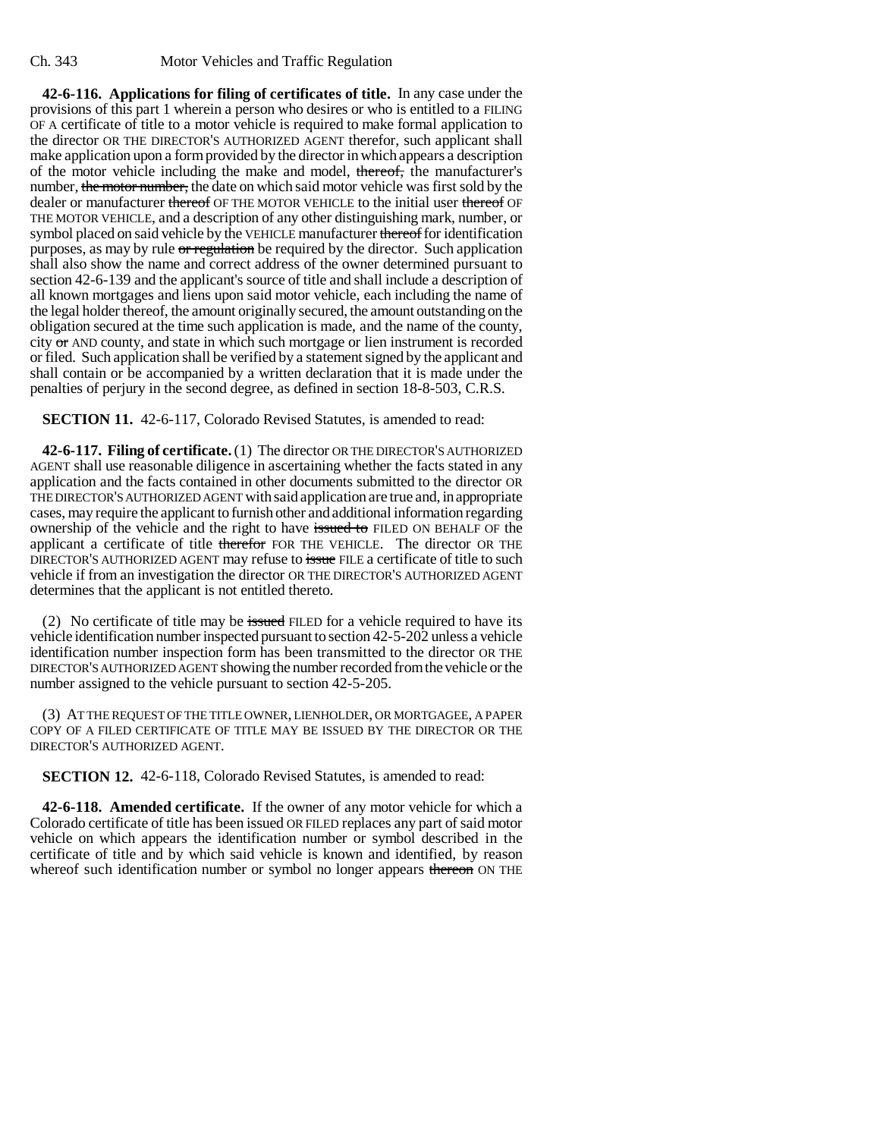**42-6-116. Applications for filing of certificates of title.** In any case under the provisions of this part 1 wherein a person who desires or who is entitled to a FILING OF A certificate of title to a motor vehicle is required to make formal application to the director OR THE DIRECTOR'S AUTHORIZED AGENT therefor, such applicant shall make application upon a form provided by the director in which appears a description of the motor vehicle including the make and model, thereof, the manufacturer's number, the motor number, the date on which said motor vehicle was first sold by the dealer or manufacturer thereof OF THE MOTOR VEHICLE to the initial user thereof OF THE MOTOR VEHICLE, and a description of any other distinguishing mark, number, or symbol placed on said vehicle by the VEHICLE manufacturer thereof for identification purposes, as may by rule or regulation be required by the director. Such application shall also show the name and correct address of the owner determined pursuant to section 42-6-139 and the applicant's source of title and shall include a description of all known mortgages and liens upon said motor vehicle, each including the name of the legal holder thereof, the amount originally secured, the amount outstanding on the obligation secured at the time such application is made, and the name of the county, city or AND county, and state in which such mortgage or lien instrument is recorded or filed. Such application shall be verified by a statement signed by the applicant and shall contain or be accompanied by a written declaration that it is made under the penalties of perjury in the second degree, as defined in section 18-8-503, C.R.S.

**SECTION 11.** 42-6-117, Colorado Revised Statutes, is amended to read:

**42-6-117. Filing of certificate.** (1) The director OR THE DIRECTOR'S AUTHORIZED AGENT shall use reasonable diligence in ascertaining whether the facts stated in any application and the facts contained in other documents submitted to the director OR THE DIRECTOR'S AUTHORIZED AGENT with said application are true and, in appropriate cases, may require the applicant to furnish other and additional information regarding ownership of the vehicle and the right to have issued to FILED ON BEHALF OF the applicant a certificate of title therefor FOR THE VEHICLE. The director OR THE DIRECTOR'S AUTHORIZED AGENT may refuse to issue FILE a certificate of title to such vehicle if from an investigation the director OR THE DIRECTOR'S AUTHORIZED AGENT determines that the applicant is not entitled thereto.

(2) No certificate of title may be issued FILED for a vehicle required to have its vehicle identification number inspected pursuant to section 42-5-202 unless a vehicle identification number inspection form has been transmitted to the director OR THE DIRECTOR'S AUTHORIZED AGENT showing the number recorded from the vehicle or the number assigned to the vehicle pursuant to section 42-5-205.

(3) AT THE REQUEST OF THE TITLE OWNER, LIENHOLDER, OR MORTGAGEE, A PAPER COPY OF A FILED CERTIFICATE OF TITLE MAY BE ISSUED BY THE DIRECTOR OR THE DIRECTOR'S AUTHORIZED AGENT.

**SECTION 12.** 42-6-118, Colorado Revised Statutes, is amended to read:

**42-6-118. Amended certificate.** If the owner of any motor vehicle for which a Colorado certificate of title has been issued OR FILED replaces any part of said motor vehicle on which appears the identification number or symbol described in the certificate of title and by which said vehicle is known and identified, by reason whereof such identification number or symbol no longer appears thereon ON THE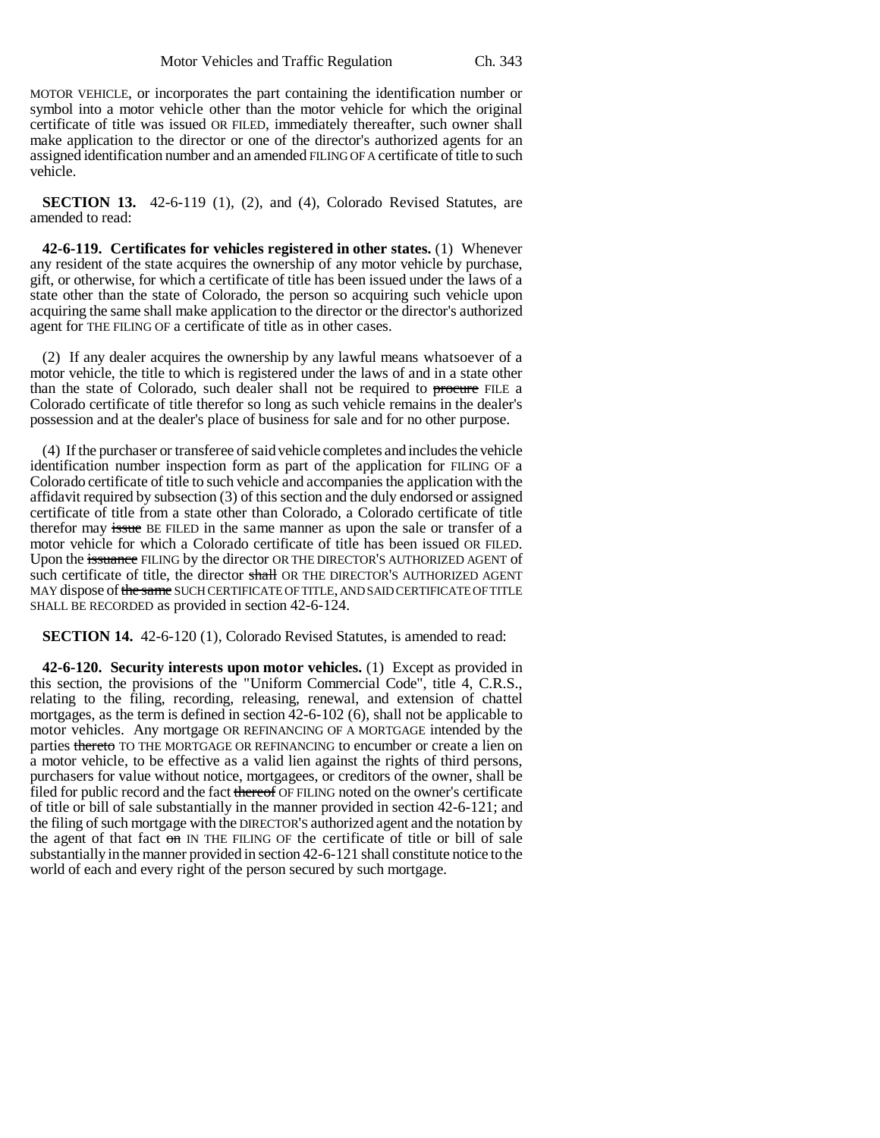MOTOR VEHICLE, or incorporates the part containing the identification number or symbol into a motor vehicle other than the motor vehicle for which the original certificate of title was issued OR FILED, immediately thereafter, such owner shall make application to the director or one of the director's authorized agents for an assigned identification number and an amended FILING OF A certificate of title to such vehicle.

**SECTION 13.** 42-6-119 (1), (2), and (4), Colorado Revised Statutes, are amended to read:

**42-6-119. Certificates for vehicles registered in other states.** (1) Whenever any resident of the state acquires the ownership of any motor vehicle by purchase, gift, or otherwise, for which a certificate of title has been issued under the laws of a state other than the state of Colorado, the person so acquiring such vehicle upon acquiring the same shall make application to the director or the director's authorized agent for THE FILING OF a certificate of title as in other cases.

(2) If any dealer acquires the ownership by any lawful means whatsoever of a motor vehicle, the title to which is registered under the laws of and in a state other than the state of Colorado, such dealer shall not be required to procure FILE a Colorado certificate of title therefor so long as such vehicle remains in the dealer's possession and at the dealer's place of business for sale and for no other purpose.

(4) If the purchaser or transferee of said vehicle completes and includes the vehicle identification number inspection form as part of the application for FILING OF a Colorado certificate of title to such vehicle and accompanies the application with the affidavit required by subsection (3) of this section and the duly endorsed or assigned certificate of title from a state other than Colorado, a Colorado certificate of title therefor may issue BE FILED in the same manner as upon the sale or transfer of a motor vehicle for which a Colorado certificate of title has been issued OR FILED. Upon the issuance FILING by the director OR THE DIRECTOR'S AUTHORIZED AGENT of such certificate of title, the director shall OR THE DIRECTOR'S AUTHORIZED AGENT MAY dispose of the same SUCH CERTIFICATE OF TITLE, AND SAID CERTIFICATE OF TITLE SHALL BE RECORDED as provided in section 42-6-124.

**SECTION 14.** 42-6-120 (1), Colorado Revised Statutes, is amended to read:

**42-6-120. Security interests upon motor vehicles.** (1) Except as provided in this section, the provisions of the "Uniform Commercial Code", title 4, C.R.S., relating to the filing, recording, releasing, renewal, and extension of chattel mortgages, as the term is defined in section 42-6-102 (6), shall not be applicable to motor vehicles. Any mortgage OR REFINANCING OF A MORTGAGE intended by the parties thereto TO THE MORTGAGE OR REFINANCING to encumber or create a lien on a motor vehicle, to be effective as a valid lien against the rights of third persons, purchasers for value without notice, mortgagees, or creditors of the owner, shall be filed for public record and the fact thereof OF FILING noted on the owner's certificate of title or bill of sale substantially in the manner provided in section 42-6-121; and the filing of such mortgage with the DIRECTOR'S authorized agent and the notation by the agent of that fact on IN THE FILING OF the certificate of title or bill of sale substantially in the manner provided in section 42-6-121 shall constitute notice to the world of each and every right of the person secured by such mortgage.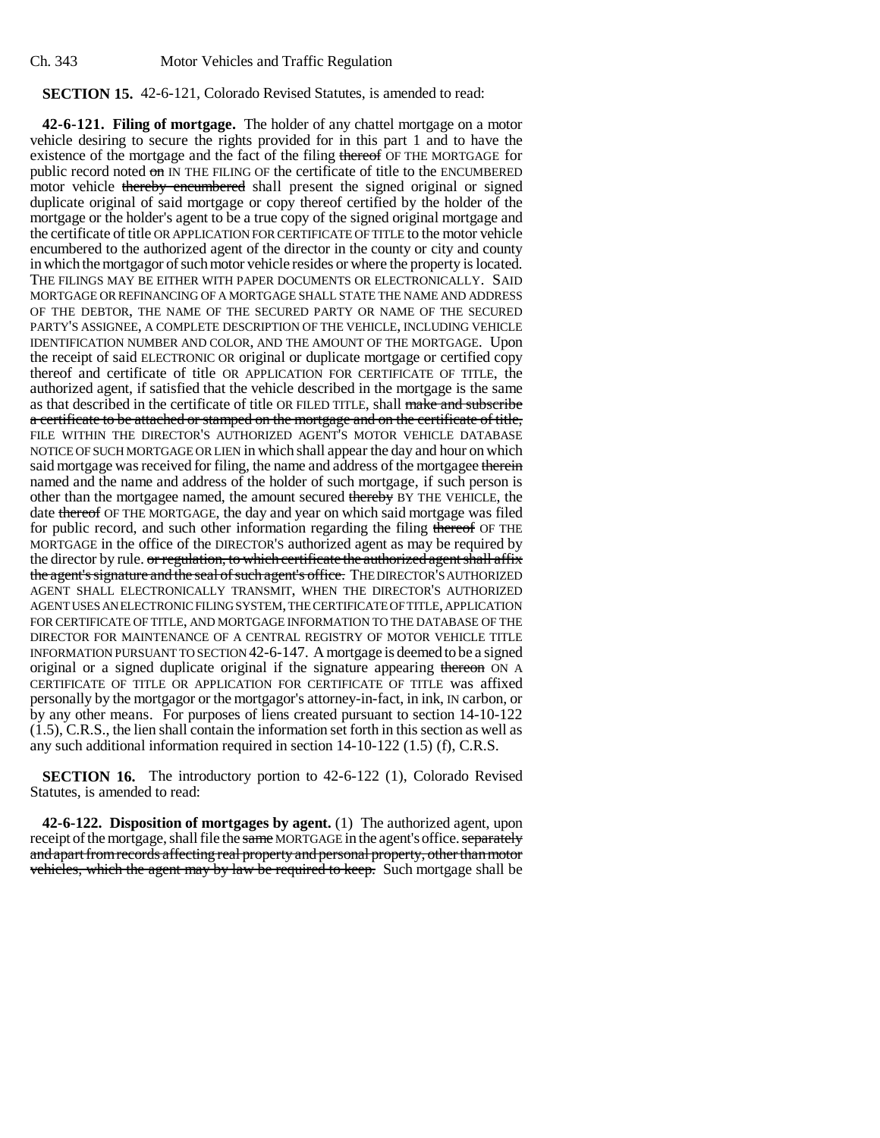Ch. 343 Motor Vehicles and Traffic Regulation

## **SECTION 15.** 42-6-121, Colorado Revised Statutes, is amended to read:

**42-6-121. Filing of mortgage.** The holder of any chattel mortgage on a motor vehicle desiring to secure the rights provided for in this part 1 and to have the existence of the mortgage and the fact of the filing thereof OF THE MORTGAGE for public record noted on IN THE FILING OF the certificate of title to the ENCUMBERED motor vehicle thereby encumbered shall present the signed original or signed duplicate original of said mortgage or copy thereof certified by the holder of the mortgage or the holder's agent to be a true copy of the signed original mortgage and the certificate of title OR APPLICATION FOR CERTIFICATE OF TITLE to the motor vehicle encumbered to the authorized agent of the director in the county or city and county in which the mortgagor of such motor vehicle resides or where the property is located. THE FILINGS MAY BE EITHER WITH PAPER DOCUMENTS OR ELECTRONICALLY. SAID MORTGAGE OR REFINANCING OF A MORTGAGE SHALL STATE THE NAME AND ADDRESS OF THE DEBTOR, THE NAME OF THE SECURED PARTY OR NAME OF THE SECURED PARTY'S ASSIGNEE, A COMPLETE DESCRIPTION OF THE VEHICLE, INCLUDING VEHICLE IDENTIFICATION NUMBER AND COLOR, AND THE AMOUNT OF THE MORTGAGE. Upon the receipt of said ELECTRONIC OR original or duplicate mortgage or certified copy thereof and certificate of title OR APPLICATION FOR CERTIFICATE OF TITLE, the authorized agent, if satisfied that the vehicle described in the mortgage is the same as that described in the certificate of title OR FILED TITLE, shall make and subscribe a certificate to be attached or stamped on the mortgage and on the certificate of title, FILE WITHIN THE DIRECTOR'S AUTHORIZED AGENT'S MOTOR VEHICLE DATABASE NOTICE OF SUCH MORTGAGE OR LIEN in which shall appear the day and hour on which said mortgage was received for filing, the name and address of the mortgagee therein named and the name and address of the holder of such mortgage, if such person is other than the mortgagee named, the amount secured thereby BY THE VEHICLE, the date thereof OF THE MORTGAGE, the day and year on which said mortgage was filed for public record, and such other information regarding the filing thereof OF THE MORTGAGE in the office of the DIRECTOR'S authorized agent as may be required by the director by rule. or regulation, to which certificate the authorized agent shall affix the agent's signature and the seal of such agent's office. THE DIRECTOR'S AUTHORIZED AGENT SHALL ELECTRONICALLY TRANSMIT, WHEN THE DIRECTOR'S AUTHORIZED AGENT USES AN ELECTRONIC FILING SYSTEM, THE CERTIFICATE OF TITLE, APPLICATION FOR CERTIFICATE OF TITLE, AND MORTGAGE INFORMATION TO THE DATABASE OF THE DIRECTOR FOR MAINTENANCE OF A CENTRAL REGISTRY OF MOTOR VEHICLE TITLE INFORMATION PURSUANT TO SECTION 42-6-147. A mortgage is deemed to be a signed original or a signed duplicate original if the signature appearing thereon ON A CERTIFICATE OF TITLE OR APPLICATION FOR CERTIFICATE OF TITLE was affixed personally by the mortgagor or the mortgagor's attorney-in-fact, in ink, IN carbon, or by any other means. For purposes of liens created pursuant to section 14-10-122 (1.5), C.R.S., the lien shall contain the information set forth in this section as well as any such additional information required in section 14-10-122 (1.5) (f), C.R.S.

**SECTION 16.** The introductory portion to 42-6-122 (1), Colorado Revised Statutes, is amended to read:

**42-6-122. Disposition of mortgages by agent.** (1) The authorized agent, upon receipt of the mortgage, shall file the same MORTGAGE in the agent's office. separately and apart from records affecting real property and personal property, other than motor vehicles, which the agent may by law be required to keep. Such mortgage shall be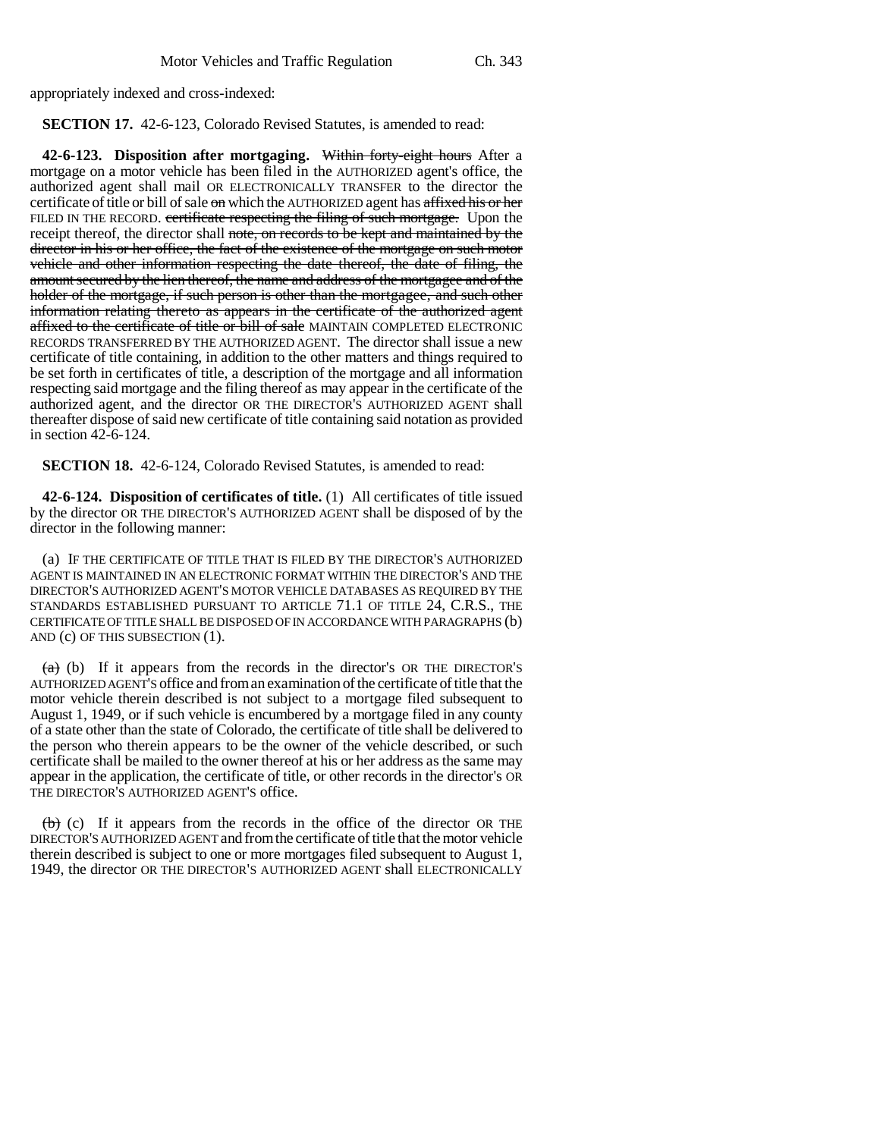appropriately indexed and cross-indexed:

**SECTION 17.** 42-6-123, Colorado Revised Statutes, is amended to read:

**42-6-123. Disposition after mortgaging.** Within forty-eight hours After a mortgage on a motor vehicle has been filed in the AUTHORIZED agent's office, the authorized agent shall mail OR ELECTRONICALLY TRANSFER to the director the certificate of title or bill of sale on which the AUTHORIZED agent has affixed his or her FILED IN THE RECORD. certificate respecting the filing of such mortgage. Upon the receipt thereof, the director shall note, on records to be kept and maintained by the director in his or her office, the fact of the existence of the mortgage on such motor vehicle and other information respecting the date thereof, the date of filing, the amount secured by the lien thereof, the name and address of the mortgagee and of the holder of the mortgage, if such person is other than the mortgagee, and such other information relating thereto as appears in the certificate of the authorized agent affixed to the certificate of title or bill of sale MAINTAIN COMPLETED ELECTRONIC RECORDS TRANSFERRED BY THE AUTHORIZED AGENT. The director shall issue a new certificate of title containing, in addition to the other matters and things required to be set forth in certificates of title, a description of the mortgage and all information respecting said mortgage and the filing thereof as may appear in the certificate of the authorized agent, and the director OR THE DIRECTOR'S AUTHORIZED AGENT shall thereafter dispose of said new certificate of title containing said notation as provided in section 42-6-124.

**SECTION 18.** 42-6-124, Colorado Revised Statutes, is amended to read:

**42-6-124. Disposition of certificates of title.** (1) All certificates of title issued by the director OR THE DIRECTOR'S AUTHORIZED AGENT shall be disposed of by the director in the following manner:

(a) IF THE CERTIFICATE OF TITLE THAT IS FILED BY THE DIRECTOR'S AUTHORIZED AGENT IS MAINTAINED IN AN ELECTRONIC FORMAT WITHIN THE DIRECTOR'S AND THE DIRECTOR'S AUTHORIZED AGENT'S MOTOR VEHICLE DATABASES AS REQUIRED BY THE STANDARDS ESTABLISHED PURSUANT TO ARTICLE 71.1 OF TITLE 24, C.R.S., THE CERTIFICATE OF TITLE SHALL BE DISPOSED OF IN ACCORDANCE WITH PARAGRAPHS (b) AND (c) OF THIS SUBSECTION (1).

 $(a)$  (b) If it appears from the records in the director's OR THE DIRECTOR's AUTHORIZED AGENT'S office and from an examination of the certificate of title that the motor vehicle therein described is not subject to a mortgage filed subsequent to August 1, 1949, or if such vehicle is encumbered by a mortgage filed in any county of a state other than the state of Colorado, the certificate of title shall be delivered to the person who therein appears to be the owner of the vehicle described, or such certificate shall be mailed to the owner thereof at his or her address as the same may appear in the application, the certificate of title, or other records in the director's OR THE DIRECTOR'S AUTHORIZED AGENT'S office.

 $(b)$  (c) If it appears from the records in the office of the director OR THE DIRECTOR'S AUTHORIZED AGENT and from the certificate of title that the motor vehicle therein described is subject to one or more mortgages filed subsequent to August 1, 1949, the director OR THE DIRECTOR'S AUTHORIZED AGENT shall ELECTRONICALLY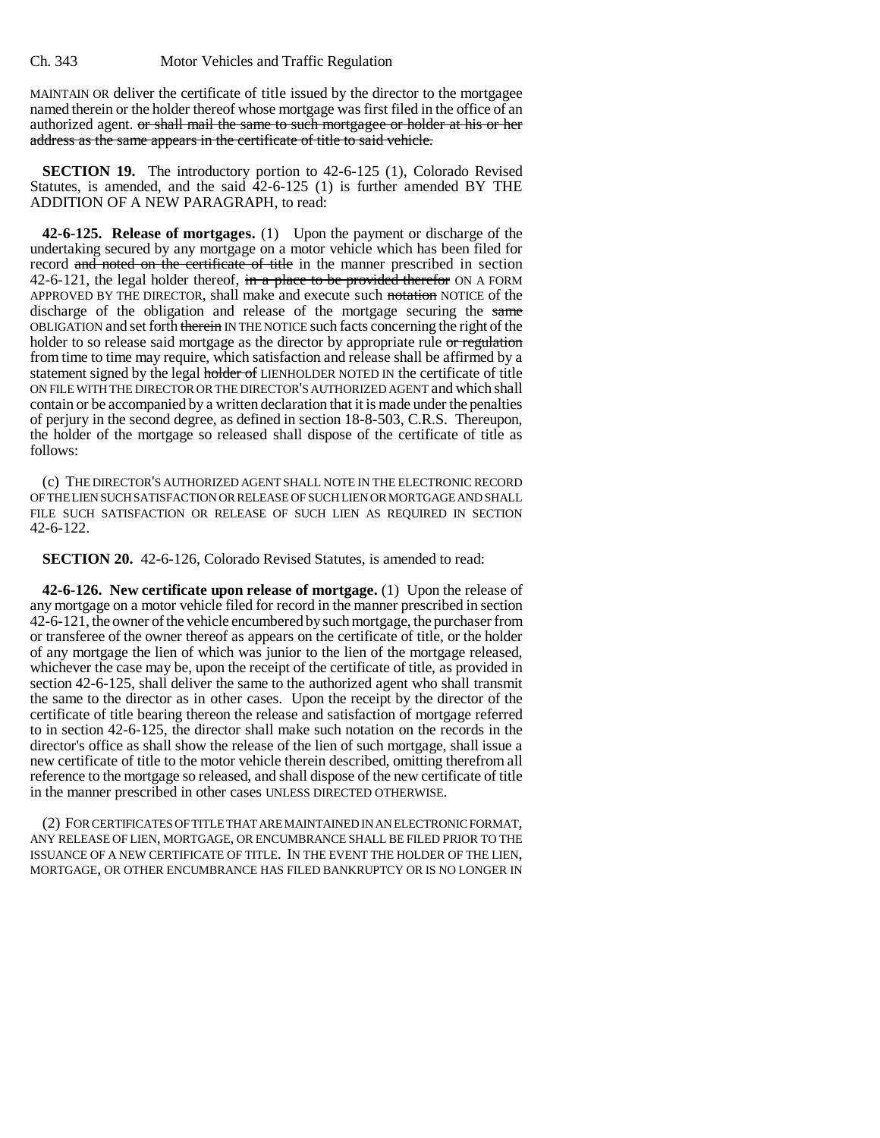MAINTAIN OR deliver the certificate of title issued by the director to the mortgagee named therein or the holder thereof whose mortgage was first filed in the office of an authorized agent. or shall mail the same to such mortgagee or holder at his or her address as the same appears in the certificate of title to said vehicle.

**SECTION 19.** The introductory portion to 42-6-125 (1), Colorado Revised Statutes, is amended, and the said  $\overline{4}2$ -6-125 (1) is further amended BY THE ADDITION OF A NEW PARAGRAPH, to read:

**42-6-125. Release of mortgages.** (1) Upon the payment or discharge of the undertaking secured by any mortgage on a motor vehicle which has been filed for record and noted on the certificate of title in the manner prescribed in section 42-6-121, the legal holder thereof,  $\overline{m}$  a place to be provided therefor ON A FORM APPROVED BY THE DIRECTOR, shall make and execute such notation NOTICE of the discharge of the obligation and release of the mortgage securing the same OBLIGATION and set forth therein IN THE NOTICE such facts concerning the right of the holder to so release said mortgage as the director by appropriate rule or regulation from time to time may require, which satisfaction and release shall be affirmed by a statement signed by the legal holder of LIENHOLDER NOTED IN the certificate of title ON FILE WITH THE DIRECTOR OR THE DIRECTOR'S AUTHORIZED AGENT and which shall contain or be accompanied by a written declaration that it is made under the penalties of perjury in the second degree, as defined in section 18-8-503, C.R.S. Thereupon, the holder of the mortgage so released shall dispose of the certificate of title as follows:

(c) THE DIRECTOR'S AUTHORIZED AGENT SHALL NOTE IN THE ELECTRONIC RECORD OF THE LIEN SUCH SATISFACTION OR RELEASE OF SUCH LIEN OR MORTGAGE AND SHALL FILE SUCH SATISFACTION OR RELEASE OF SUCH LIEN AS REQUIRED IN SECTION 42-6-122.

**SECTION 20.** 42-6-126, Colorado Revised Statutes, is amended to read:

**42-6-126. New certificate upon release of mortgage.** (1) Upon the release of any mortgage on a motor vehicle filed for record in the manner prescribed in section 42-6-121, the owner of the vehicle encumbered by such mortgage, the purchaser from or transferee of the owner thereof as appears on the certificate of title, or the holder of any mortgage the lien of which was junior to the lien of the mortgage released, whichever the case may be, upon the receipt of the certificate of title, as provided in section 42-6-125, shall deliver the same to the authorized agent who shall transmit the same to the director as in other cases. Upon the receipt by the director of the certificate of title bearing thereon the release and satisfaction of mortgage referred to in section 42-6-125, the director shall make such notation on the records in the director's office as shall show the release of the lien of such mortgage, shall issue a new certificate of title to the motor vehicle therein described, omitting therefrom all reference to the mortgage so released, and shall dispose of the new certificate of title in the manner prescribed in other cases UNLESS DIRECTED OTHERWISE.

(2) FOR CERTIFICATES OF TITLE THAT ARE MAINTAINED IN AN ELECTRONIC FORMAT, ANY RELEASE OF LIEN, MORTGAGE, OR ENCUMBRANCE SHALL BE FILED PRIOR TO THE ISSUANCE OF A NEW CERTIFICATE OF TITLE. IN THE EVENT THE HOLDER OF THE LIEN, MORTGAGE, OR OTHER ENCUMBRANCE HAS FILED BANKRUPTCY OR IS NO LONGER IN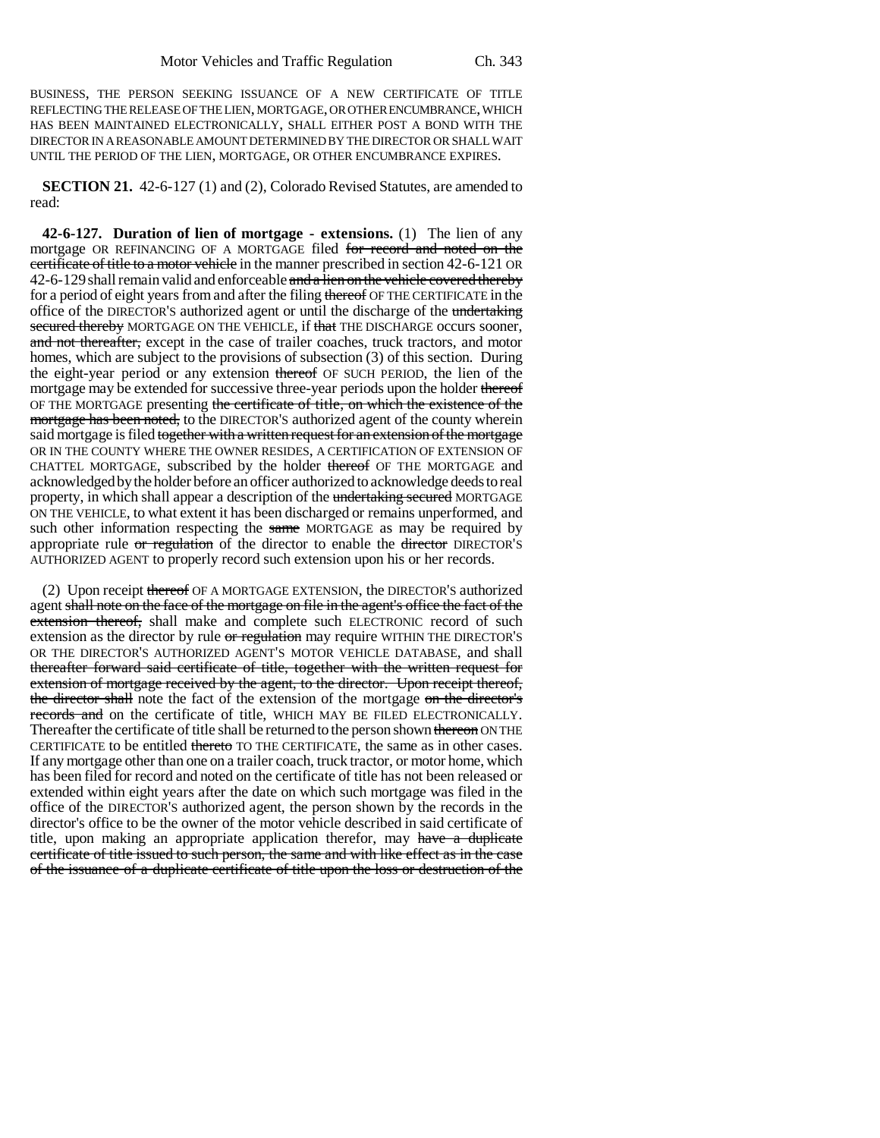BUSINESS, THE PERSON SEEKING ISSUANCE OF A NEW CERTIFICATE OF TITLE REFLECTING THE RELEASE OF THE LIEN, MORTGAGE, OR OTHER ENCUMBRANCE, WHICH HAS BEEN MAINTAINED ELECTRONICALLY, SHALL EITHER POST A BOND WITH THE DIRECTOR IN A REASONABLE AMOUNT DETERMINED BY THE DIRECTOR OR SHALL WAIT UNTIL THE PERIOD OF THE LIEN, MORTGAGE, OR OTHER ENCUMBRANCE EXPIRES.

**SECTION 21.** 42-6-127 (1) and (2), Colorado Revised Statutes, are amended to read:

**42-6-127. Duration of lien of mortgage - extensions.** (1) The lien of any mortgage OR REFINANCING OF A MORTGAGE filed for record and noted on the certificate of title to a motor vehicle in the manner prescribed in section 42-6-121 OR 42-6-129 shall remain valid and enforceable and a lien on the vehicle covered thereby for a period of eight years from and after the filing thereof OF THE CERTIFICATE in the office of the DIRECTOR'S authorized agent or until the discharge of the undertaking secured thereby MORTGAGE ON THE VEHICLE, if that THE DISCHARGE occurs sooner, and not thereafter, except in the case of trailer coaches, truck tractors, and motor homes, which are subject to the provisions of subsection (3) of this section. During the eight-year period or any extension thereof OF SUCH PERIOD, the lien of the mortgage may be extended for successive three-year periods upon the holder thereof OF THE MORTGAGE presenting the certificate of title, on which the existence of the mortgage has been noted, to the DIRECTOR'S authorized agent of the county wherein said mortgage is filed together with a written request for an extension of the mortgage OR IN THE COUNTY WHERE THE OWNER RESIDES, A CERTIFICATION OF EXTENSION OF CHATTEL MORTGAGE, subscribed by the holder thereof OF THE MORTGAGE and acknowledged by the holder before an officer authorized to acknowledge deeds to real property, in which shall appear a description of the undertaking secured MORTGAGE ON THE VEHICLE, to what extent it has been discharged or remains unperformed, and such other information respecting the same MORTGAGE as may be required by appropriate rule  $\sigma$  regulation of the director to enable the director DIRECTOR'S AUTHORIZED AGENT to properly record such extension upon his or her records.

(2) Upon receipt thereof OF A MORTGAGE EXTENSION, the DIRECTOR'S authorized agent shall note on the face of the mortgage on file in the agent's office the fact of the extension thereof, shall make and complete such ELECTRONIC record of such extension as the director by rule or regulation may require WITHIN THE DIRECTOR'S OR THE DIRECTOR'S AUTHORIZED AGENT'S MOTOR VEHICLE DATABASE, and shall thereafter forward said certificate of title, together with the written request for extension of mortgage received by the agent, to the director. Upon receipt thereof, the director shall note the fact of the extension of the mortgage on the director's records and on the certificate of title, WHICH MAY BE FILED ELECTRONICALLY. Thereafter the certificate of title shall be returned to the person shown thereon ON THE CERTIFICATE to be entitled thereto TO THE CERTIFICATE, the same as in other cases. If any mortgage other than one on a trailer coach, truck tractor, or motor home, which has been filed for record and noted on the certificate of title has not been released or extended within eight years after the date on which such mortgage was filed in the office of the DIRECTOR'S authorized agent, the person shown by the records in the director's office to be the owner of the motor vehicle described in said certificate of title, upon making an appropriate application therefor, may have a duplicate certificate of title issued to such person, the same and with like effect as in the case of the issuance of a duplicate certificate of title upon the loss or destruction of the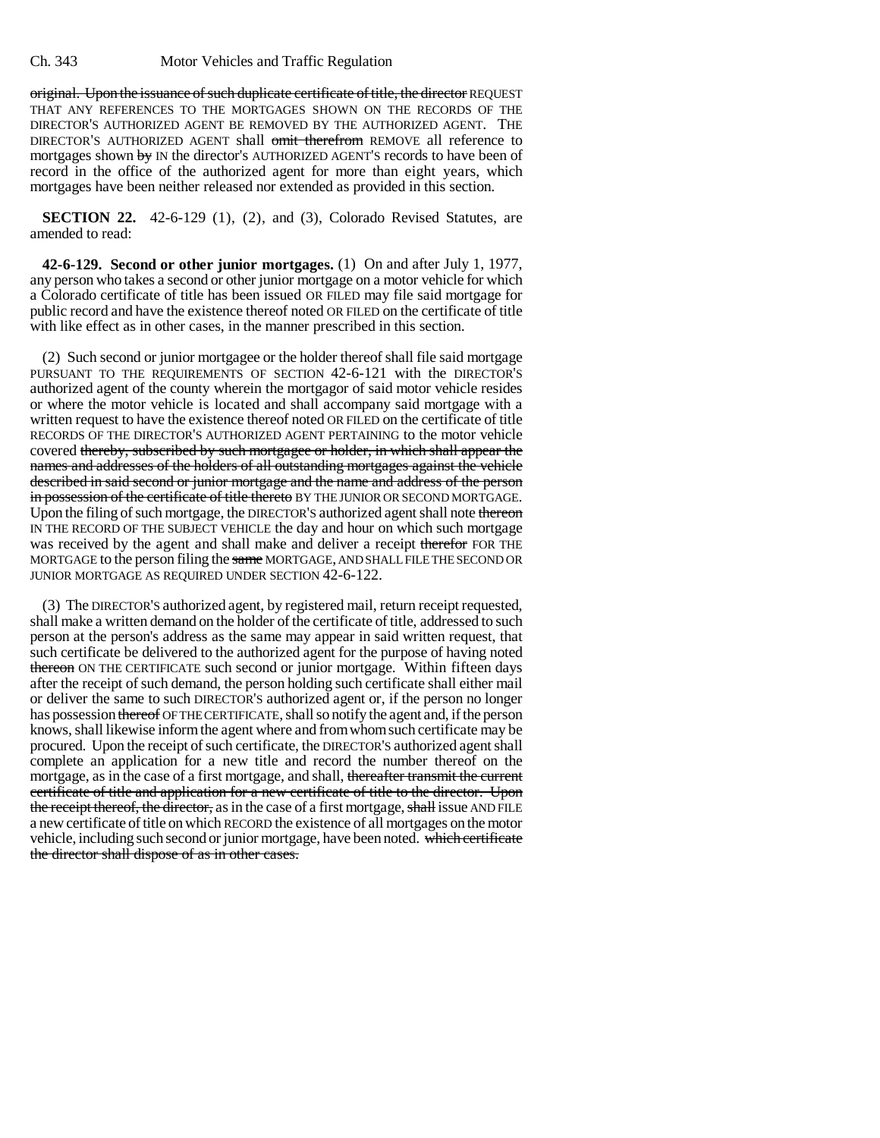original. Upon the issuance of such duplicate certificate of title, the director REQUEST THAT ANY REFERENCES TO THE MORTGAGES SHOWN ON THE RECORDS OF THE DIRECTOR'S AUTHORIZED AGENT BE REMOVED BY THE AUTHORIZED AGENT. THE DIRECTOR'S AUTHORIZED AGENT shall omit therefrom REMOVE all reference to mortgages shown by IN the director's AUTHORIZED AGENT'S records to have been of record in the office of the authorized agent for more than eight years, which mortgages have been neither released nor extended as provided in this section.

**SECTION 22.** 42-6-129 (1), (2), and (3), Colorado Revised Statutes, are amended to read:

**42-6-129. Second or other junior mortgages.** (1) On and after July 1, 1977, any person who takes a second or other junior mortgage on a motor vehicle for which a Colorado certificate of title has been issued OR FILED may file said mortgage for public record and have the existence thereof noted OR FILED on the certificate of title with like effect as in other cases, in the manner prescribed in this section.

(2) Such second or junior mortgagee or the holder thereof shall file said mortgage PURSUANT TO THE REQUIREMENTS OF SECTION 42-6-121 with the DIRECTOR'S authorized agent of the county wherein the mortgagor of said motor vehicle resides or where the motor vehicle is located and shall accompany said mortgage with a written request to have the existence thereof noted OR FILED on the certificate of title RECORDS OF THE DIRECTOR'S AUTHORIZED AGENT PERTAINING to the motor vehicle covered thereby, subscribed by such mortgagee or holder, in which shall appear the names and addresses of the holders of all outstanding mortgages against the vehicle described in said second or junior mortgage and the name and address of the person in possession of the certificate of title thereto BY THE JUNIOR OR SECOND MORTGAGE. Upon the filing of such mortgage, the DIRECTOR'S authorized agent shall note thereon IN THE RECORD OF THE SUBJECT VEHICLE the day and hour on which such mortgage was received by the agent and shall make and deliver a receipt therefor FOR THE MORTGAGE to the person filing the same MORTGAGE, AND SHALL FILE THE SECOND OR JUNIOR MORTGAGE AS REQUIRED UNDER SECTION 42-6-122.

(3) The DIRECTOR'S authorized agent, by registered mail, return receipt requested, shall make a written demand on the holder of the certificate of title, addressed to such person at the person's address as the same may appear in said written request, that such certificate be delivered to the authorized agent for the purpose of having noted thereon ON THE CERTIFICATE such second or junior mortgage. Within fifteen days after the receipt of such demand, the person holding such certificate shall either mail or deliver the same to such DIRECTOR'S authorized agent or, if the person no longer has possession thereof OF THE CERTIFICATE, shall so notify the agent and, if the person knows, shall likewise inform the agent where and from whom such certificate may be procured. Upon the receipt of such certificate, the DIRECTOR'S authorized agent shall complete an application for a new title and record the number thereof on the mortgage, as in the case of a first mortgage, and shall, thereafter transmit the current certificate of title and application for a new certificate of title to the director. Upon the receipt thereof, the director, as in the case of a first mortgage, shall issue AND FILE a new certificate of title on which RECORD the existence of all mortgages on the motor vehicle, including such second or junior mortgage, have been noted. which certificate the director shall dispose of as in other cases.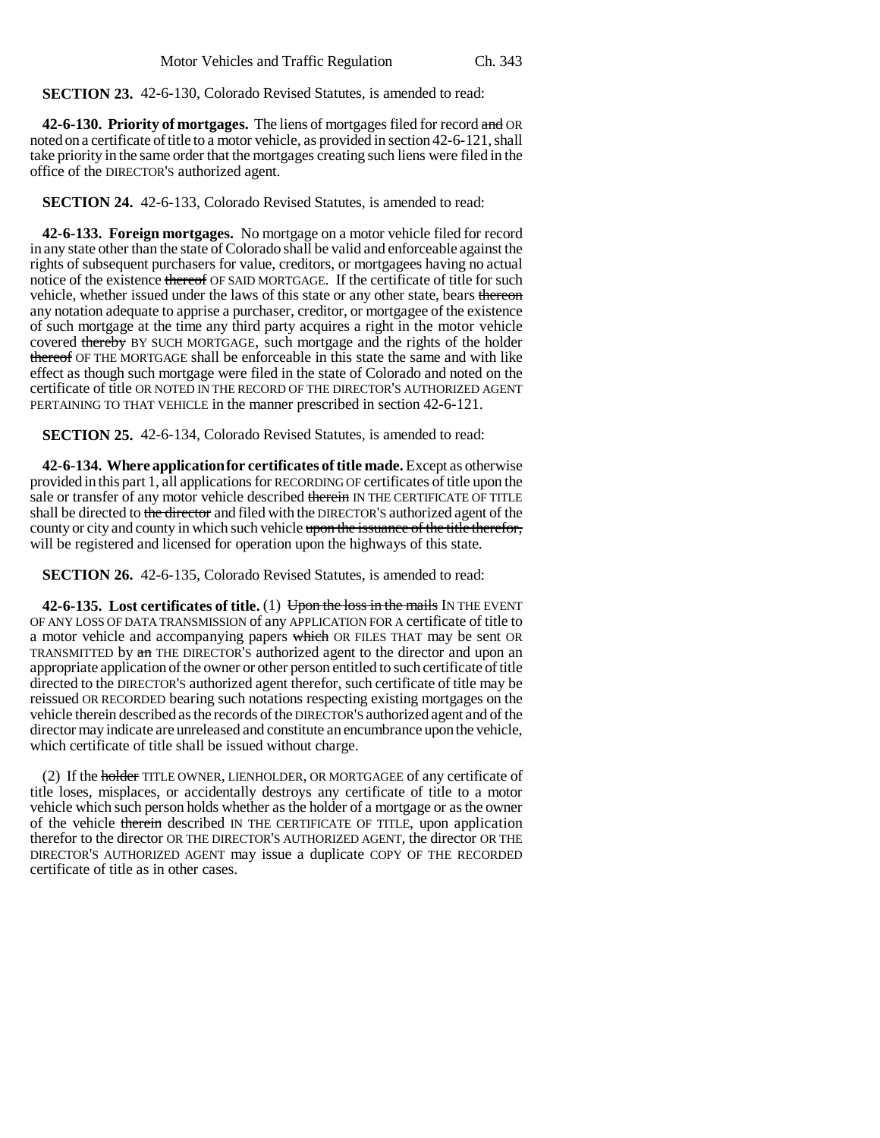**SECTION 23.** 42-6-130, Colorado Revised Statutes, is amended to read:

**42-6-130. Priority of mortgages.** The liens of mortgages filed for record and OR noted on a certificate of title to a motor vehicle, as provided in section 42-6-121, shall take priority in the same order that the mortgages creating such liens were filed in the office of the DIRECTOR'S authorized agent.

**SECTION 24.** 42-6-133, Colorado Revised Statutes, is amended to read:

**42-6-133. Foreign mortgages.** No mortgage on a motor vehicle filed for record in any state other than the state of Colorado shall be valid and enforceable against the rights of subsequent purchasers for value, creditors, or mortgagees having no actual notice of the existence thereof OF SAID MORTGAGE. If the certificate of title for such vehicle, whether issued under the laws of this state or any other state, bears thereon any notation adequate to apprise a purchaser, creditor, or mortgagee of the existence of such mortgage at the time any third party acquires a right in the motor vehicle covered thereby BY SUCH MORTGAGE, such mortgage and the rights of the holder thereof OF THE MORTGAGE shall be enforceable in this state the same and with like effect as though such mortgage were filed in the state of Colorado and noted on the certificate of title OR NOTED IN THE RECORD OF THE DIRECTOR'S AUTHORIZED AGENT PERTAINING TO THAT VEHICLE in the manner prescribed in section 42-6-121.

**SECTION 25.** 42-6-134, Colorado Revised Statutes, is amended to read:

**42-6-134. Where application for certificates of title made.** Except as otherwise provided in this part 1, all applications for RECORDING OF certificates of title upon the sale or transfer of any motor vehicle described therein IN THE CERTIFICATE OF TITLE shall be directed to the director and filed with the DIRECTOR'S authorized agent of the county or city and county in which such vehicle upon the issuance of the title therefor, will be registered and licensed for operation upon the highways of this state.

**SECTION 26.** 42-6-135, Colorado Revised Statutes, is amended to read:

**42-6-135. Lost certificates of title.** (1) Upon the loss in the mails IN THE EVENT OF ANY LOSS OF DATA TRANSMISSION of any APPLICATION FOR A certificate of title to a motor vehicle and accompanying papers which OR FILES THAT may be sent OR TRANSMITTED by an THE DIRECTOR'S authorized agent to the director and upon an appropriate application of the owner or other person entitled to such certificate of title directed to the DIRECTOR'S authorized agent therefor, such certificate of title may be reissued OR RECORDED bearing such notations respecting existing mortgages on the vehicle therein described as the records of the DIRECTOR'S authorized agent and of the director may indicate are unreleased and constitute an encumbrance upon the vehicle, which certificate of title shall be issued without charge.

(2) If the holder TITLE OWNER, LIENHOLDER, OR MORTGAGEE of any certificate of title loses, misplaces, or accidentally destroys any certificate of title to a motor vehicle which such person holds whether as the holder of a mortgage or as the owner of the vehicle therein described IN THE CERTIFICATE OF TITLE, upon application therefor to the director OR THE DIRECTOR'S AUTHORIZED AGENT, the director OR THE DIRECTOR'S AUTHORIZED AGENT may issue a duplicate COPY OF THE RECORDED certificate of title as in other cases.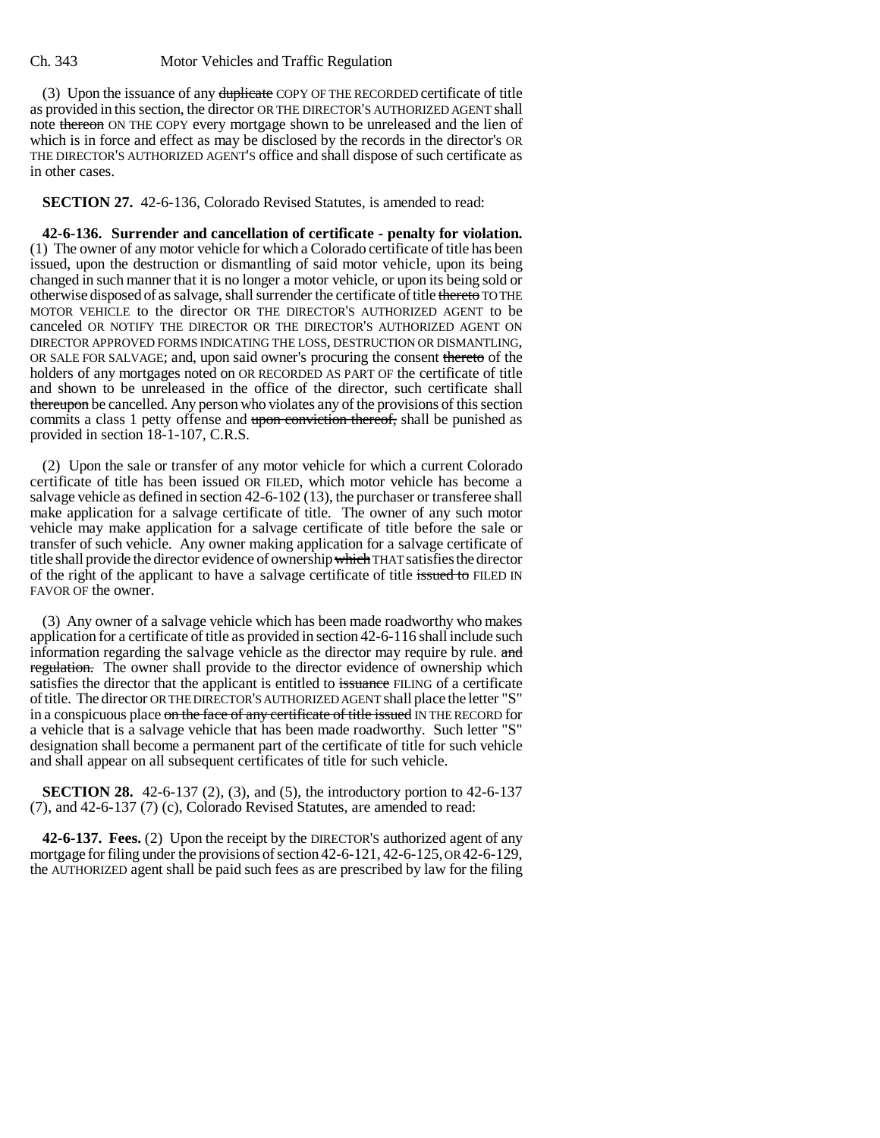(3) Upon the issuance of any duplicate COPY OF THE RECORDED certificate of title as provided in this section, the director OR THE DIRECTOR'S AUTHORIZED AGENT shall note thereon ON THE COPY every mortgage shown to be unreleased and the lien of which is in force and effect as may be disclosed by the records in the director's OR THE DIRECTOR'S AUTHORIZED AGENT'S office and shall dispose of such certificate as in other cases.

**SECTION 27.** 42-6-136, Colorado Revised Statutes, is amended to read:

**42-6-136. Surrender and cancellation of certificate - penalty for violation.** (1) The owner of any motor vehicle for which a Colorado certificate of title has been issued, upon the destruction or dismantling of said motor vehicle, upon its being changed in such manner that it is no longer a motor vehicle, or upon its being sold or otherwise disposed of as salvage, shall surrender the certificate of title thereto TO THE MOTOR VEHICLE to the director OR THE DIRECTOR'S AUTHORIZED AGENT to be canceled OR NOTIFY THE DIRECTOR OR THE DIRECTOR'S AUTHORIZED AGENT ON DIRECTOR APPROVED FORMS INDICATING THE LOSS, DESTRUCTION OR DISMANTLING, OR SALE FOR SALVAGE; and, upon said owner's procuring the consent thereto of the holders of any mortgages noted on OR RECORDED AS PART OF the certificate of title and shown to be unreleased in the office of the director, such certificate shall thereupon be cancelled. Any person who violates any of the provisions of this section commits a class 1 petty offense and upon conviction thereof, shall be punished as provided in section 18-1-107, C.R.S.

(2) Upon the sale or transfer of any motor vehicle for which a current Colorado certificate of title has been issued OR FILED, which motor vehicle has become a salvage vehicle as defined in section 42-6-102 (13), the purchaser or transferee shall make application for a salvage certificate of title. The owner of any such motor vehicle may make application for a salvage certificate of title before the sale or transfer of such vehicle. Any owner making application for a salvage certificate of title shall provide the director evidence of ownership which THAT satisfies the director of the right of the applicant to have a salvage certificate of title issued to FILED IN FAVOR OF the owner.

(3) Any owner of a salvage vehicle which has been made roadworthy who makes application for a certificate of title as provided in section 42-6-116 shall include such information regarding the salvage vehicle as the director may require by rule. and regulation. The owner shall provide to the director evidence of ownership which satisfies the director that the applicant is entitled to issuance FILING of a certificate of title. The director OR THE DIRECTOR'S AUTHORIZED AGENT shall place the letter "S" in a conspicuous place on the face of any certificate of title issued IN THE RECORD for a vehicle that is a salvage vehicle that has been made roadworthy. Such letter "S" designation shall become a permanent part of the certificate of title for such vehicle and shall appear on all subsequent certificates of title for such vehicle.

**SECTION 28.** 42-6-137 (2), (3), and (5), the introductory portion to 42-6-137 (7), and 42-6-137 (7) (c), Colorado Revised Statutes, are amended to read:

**42-6-137. Fees.** (2) Upon the receipt by the DIRECTOR'S authorized agent of any mortgage for filing under the provisions of section 42-6-121, 42-6-125, OR 42-6-129, the AUTHORIZED agent shall be paid such fees as are prescribed by law for the filing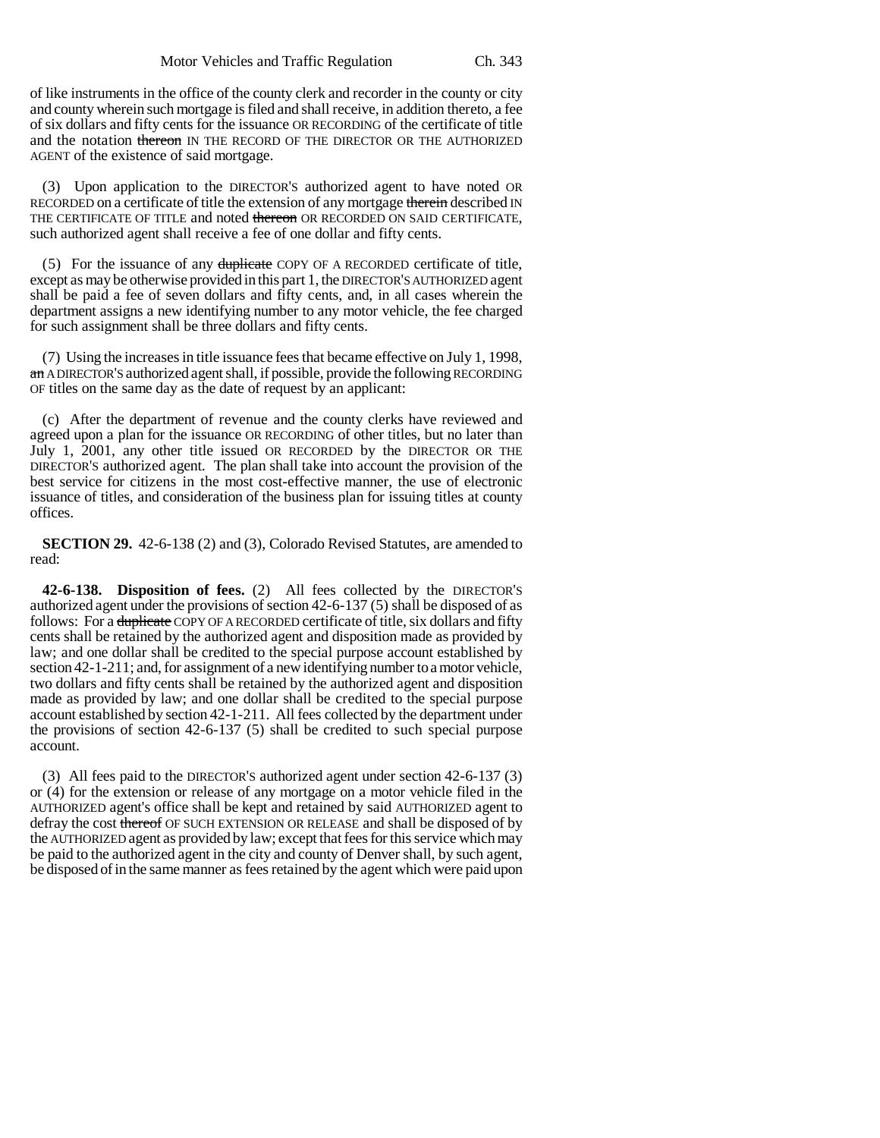of like instruments in the office of the county clerk and recorder in the county or city and county wherein such mortgage is filed and shall receive, in addition thereto, a fee of six dollars and fifty cents for the issuance OR RECORDING of the certificate of title and the notation thereon IN THE RECORD OF THE DIRECTOR OR THE AUTHORIZED AGENT of the existence of said mortgage.

(3) Upon application to the DIRECTOR'S authorized agent to have noted OR RECORDED on a certificate of title the extension of any mortgage therein described IN THE CERTIFICATE OF TITLE and noted thereon OR RECORDED ON SAID CERTIFICATE, such authorized agent shall receive a fee of one dollar and fifty cents.

(5) For the issuance of any duplicate COPY OF A RECORDED certificate of title, except as may be otherwise provided in this part 1, the DIRECTOR'S AUTHORIZED agent shall be paid a fee of seven dollars and fifty cents, and, in all cases wherein the department assigns a new identifying number to any motor vehicle, the fee charged for such assignment shall be three dollars and fifty cents.

(7) Using the increases in title issuance fees that became effective on July 1, 1998, an A DIRECTOR'S authorized agent shall, if possible, provide the following RECORDING OF titles on the same day as the date of request by an applicant:

(c) After the department of revenue and the county clerks have reviewed and agreed upon a plan for the issuance OR RECORDING of other titles, but no later than July 1, 2001, any other title issued OR RECORDED by the DIRECTOR OR THE DIRECTOR'S authorized agent. The plan shall take into account the provision of the best service for citizens in the most cost-effective manner, the use of electronic issuance of titles, and consideration of the business plan for issuing titles at county offices.

**SECTION 29.** 42-6-138 (2) and (3), Colorado Revised Statutes, are amended to read:

**42-6-138. Disposition of fees.** (2) All fees collected by the DIRECTOR'S authorized agent under the provisions of section 42-6-137 (5) shall be disposed of as follows: For a <del>duplicate</del> COPY OF A RECORDED certificate of title, six dollars and fifty cents shall be retained by the authorized agent and disposition made as provided by law; and one dollar shall be credited to the special purpose account established by section 42-1-211; and, for assignment of a new identifying number to a motor vehicle, two dollars and fifty cents shall be retained by the authorized agent and disposition made as provided by law; and one dollar shall be credited to the special purpose account established by section 42-1-211. All fees collected by the department under the provisions of section 42-6-137 (5) shall be credited to such special purpose account.

(3) All fees paid to the DIRECTOR'S authorized agent under section 42-6-137 (3) or (4) for the extension or release of any mortgage on a motor vehicle filed in the AUTHORIZED agent's office shall be kept and retained by said AUTHORIZED agent to defray the cost thereof OF SUCH EXTENSION OR RELEASE and shall be disposed of by the AUTHORIZED agent as provided by law; except that fees for this service which may be paid to the authorized agent in the city and county of Denver shall, by such agent, be disposed of in the same manner as fees retained by the agent which were paid upon